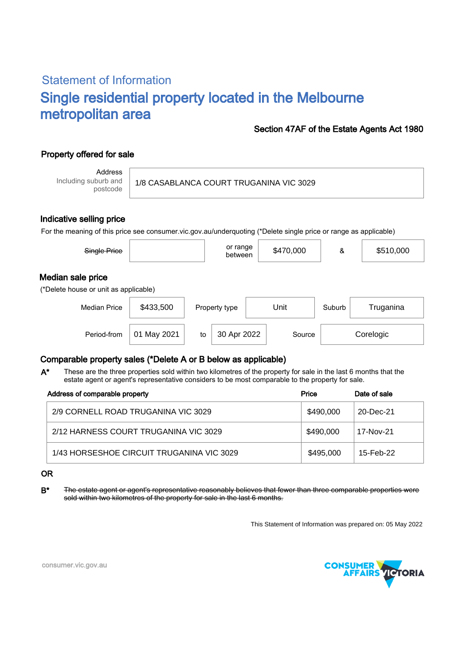# Statement of Information Single residential property located in the Melbourne metropolitan area

### Section 47AF of the Estate Agents Act 1980

## Property offered for sale

Address Including suburb and postcode

#### 1/8 CASABLANCA COURT TRUGANINA VIC 3029

#### Indicative selling price

For the meaning of this price see consumer.vic.gov.au/underquoting (\*Delete single price or range as applicable)

| Single Price                                               |             |    | or range<br>between |      | \$470,000 | &      | \$510,000 |  |  |
|------------------------------------------------------------|-------------|----|---------------------|------|-----------|--------|-----------|--|--|
| Median sale price<br>(*Delete house or unit as applicable) |             |    |                     |      |           |        |           |  |  |
| <b>Median Price</b>                                        | \$433,500   |    | Property type       | Unit |           | Suburb | Truganina |  |  |
| Period-from                                                | 01 May 2021 | to | 30 Apr 2022         |      | Source    |        | Corelogic |  |  |

#### Comparable property sales (\*Delete A or B below as applicable)

These are the three properties sold within two kilometres of the property for sale in the last 6 months that the estate agent or agent's representative considers to be most comparable to the property for sale. A\*

| Address of comparable property            | Price     | Date of sale |
|-------------------------------------------|-----------|--------------|
| 2/9 CORNELL ROAD TRUGANINA VIC 3029       | \$490,000 | 20-Dec-21    |
| 2/12 HARNESS COURT TRUGANINA VIC 3029     | \$490.000 | 17-Nov-21    |
| 1/43 HORSESHOE CIRCUIT TRUGANINA VIC 3029 | \$495,000 | 15-Feb-22    |

#### OR

B\* The estate agent or agent's representative reasonably believes that fewer than three comparable properties were sold within two kilometres of the property for sale in the last 6 months.

This Statement of Information was prepared on: 05 May 2022



consumer.vic.gov.au